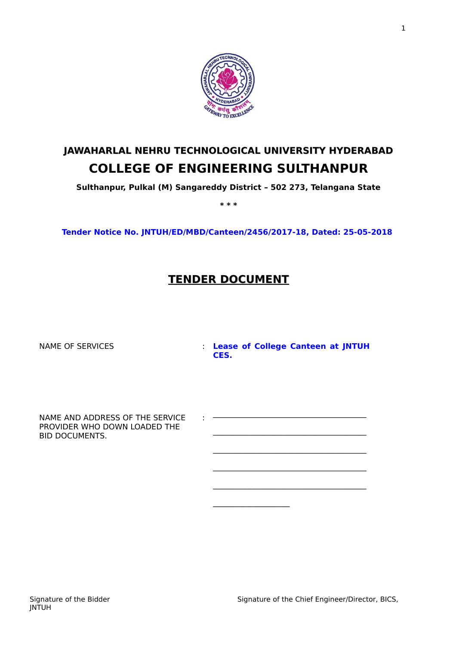

# **JAWAHARLAL NEHRU TECHNOLOGICAL UNIVERSITY HYDERABAD COLLEGE OF ENGINEERING SULTHANPUR**

**Sulthanpur, Pulkal (M) Sangareddy District – 502 273, Telangana State**

**\* \* \***

**Tender Notice No. JNTUH/ED/MBD/Canteen/2456/2017-18, Dated: 25-05-2018** 

# **TENDER DOCUMENT**

:

NAME OF SERVICES : **Lease of College Canteen at JNTUH CES.**

\_\_\_\_\_\_\_\_\_\_\_\_\_\_\_\_\_\_\_\_\_\_\_\_\_\_\_\_\_\_\_\_\_\_\_\_\_\_\_\_

 $\frac{1}{2}$  ,  $\frac{1}{2}$  ,  $\frac{1}{2}$  ,  $\frac{1}{2}$  ,  $\frac{1}{2}$  ,  $\frac{1}{2}$  ,  $\frac{1}{2}$  ,  $\frac{1}{2}$  ,  $\frac{1}{2}$  ,  $\frac{1}{2}$ 

NAME AND ADDRESS OF THE SERVICE PROVIDER WHO DOWN LOADED THE BID DOCUMENTS.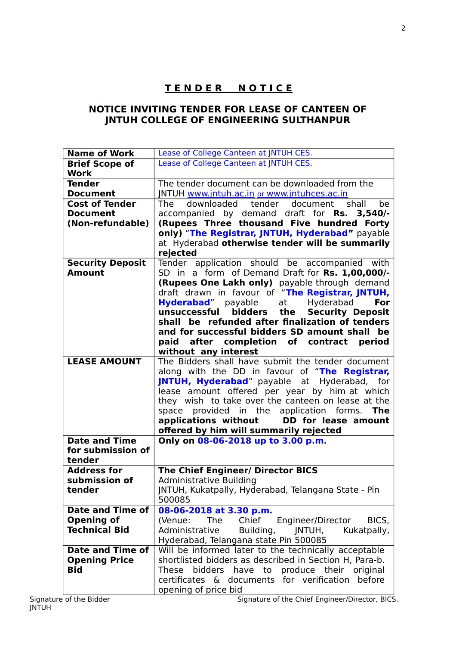# **T E N D E R N O T I C E**

## **NOTICE INVITING TENDER FOR LEASE OF CANTEEN OF JNTUH COLLEGE OF ENGINEERING SULTHANPUR**

| Lease of College Canteen at JNTUH CES.<br><b>Brief Scope of</b><br><b>Work</b><br>The tender document can be downloaded from the<br><b>Tender</b><br>JNTUH www.jntuh.ac.in or www.jntuhces.ac.in<br><b>Document</b><br><b>Cost of Tender</b><br>downloaded tender<br>The<br>document shall<br>be.<br>accompanied by demand draft for Rs. 3,540/-<br><b>Document</b> |
|---------------------------------------------------------------------------------------------------------------------------------------------------------------------------------------------------------------------------------------------------------------------------------------------------------------------------------------------------------------------|
|                                                                                                                                                                                                                                                                                                                                                                     |
|                                                                                                                                                                                                                                                                                                                                                                     |
|                                                                                                                                                                                                                                                                                                                                                                     |
|                                                                                                                                                                                                                                                                                                                                                                     |
|                                                                                                                                                                                                                                                                                                                                                                     |
|                                                                                                                                                                                                                                                                                                                                                                     |
| (Rupees Three thousand Five hundred Forty<br>(Non-refundable)                                                                                                                                                                                                                                                                                                       |
| only) "The Registrar, JNTUH, Hyderabad" payable                                                                                                                                                                                                                                                                                                                     |
| at Hyderabad otherwise tender will be summarily                                                                                                                                                                                                                                                                                                                     |
| rejected                                                                                                                                                                                                                                                                                                                                                            |
| Tender application should be accompanied with<br><b>Security Deposit</b>                                                                                                                                                                                                                                                                                            |
| SD in a form of Demand Draft for Rs. 1,00,000/-<br><b>Amount</b>                                                                                                                                                                                                                                                                                                    |
| (Rupees One Lakh only) payable through demand                                                                                                                                                                                                                                                                                                                       |
| draft drawn in favour of "The Registrar, JNTUH,                                                                                                                                                                                                                                                                                                                     |
| Hyderabad" payable<br>Hyderabad<br>at<br>For                                                                                                                                                                                                                                                                                                                        |
| <b>Security Deposit</b><br>unsuccessful<br>bidders the                                                                                                                                                                                                                                                                                                              |
| shall be refunded after finalization of tenders                                                                                                                                                                                                                                                                                                                     |
| and for successful bidders SD amount shall be                                                                                                                                                                                                                                                                                                                       |
| after completion of contract<br>period<br>paid                                                                                                                                                                                                                                                                                                                      |
| without any interest                                                                                                                                                                                                                                                                                                                                                |
| The Bidders shall have submit the tender document<br><b>LEASE AMOUNT</b>                                                                                                                                                                                                                                                                                            |
| along with the DD in favour of "The Registrar,                                                                                                                                                                                                                                                                                                                      |
| JNTUH, Hyderabad" payable at Hyderabad, for                                                                                                                                                                                                                                                                                                                         |
| lease amount offered per year by him at which                                                                                                                                                                                                                                                                                                                       |
| they wish to take over the canteen on lease at the                                                                                                                                                                                                                                                                                                                  |
| space provided in the application forms.<br><b>The</b>                                                                                                                                                                                                                                                                                                              |
| applications without<br>DD for lease amount                                                                                                                                                                                                                                                                                                                         |
| offered by him will summarily rejected                                                                                                                                                                                                                                                                                                                              |
| Only on 08-06-2018 up to 3.00 p.m.<br><b>Date and Time</b>                                                                                                                                                                                                                                                                                                          |
| for submission of                                                                                                                                                                                                                                                                                                                                                   |
| tender                                                                                                                                                                                                                                                                                                                                                              |
| <b>Address for</b><br><b>The Chief Engineer/ Director BICS</b>                                                                                                                                                                                                                                                                                                      |
| submission of<br><b>Administrative Building</b>                                                                                                                                                                                                                                                                                                                     |
| JNTUH, Kukatpally, Hyderabad, Telangana State - Pin<br>tender                                                                                                                                                                                                                                                                                                       |
| 500085                                                                                                                                                                                                                                                                                                                                                              |
| <b>Date and Time of</b><br>08-06-2018 at 3.30 p.m.                                                                                                                                                                                                                                                                                                                  |
| <b>Opening of</b><br>(Venue:<br>The<br>Chief<br>Engineer/Director<br>BICS,                                                                                                                                                                                                                                                                                          |
| <b>Technical Bid</b><br>Administrative<br>Building,<br>JNTUH,<br>Kukatpally,                                                                                                                                                                                                                                                                                        |
| Hyderabad, Telangana state Pin 500085                                                                                                                                                                                                                                                                                                                               |
| Will be informed later to the technically acceptable<br>Date and Time of                                                                                                                                                                                                                                                                                            |
| shortlisted bidders as described in Section H, Para-b.<br><b>Opening Price</b>                                                                                                                                                                                                                                                                                      |
| <b>Bid</b><br>bidders have to produce their original<br>These                                                                                                                                                                                                                                                                                                       |
| certificates & documents for verification before                                                                                                                                                                                                                                                                                                                    |
| opening of price bid                                                                                                                                                                                                                                                                                                                                                |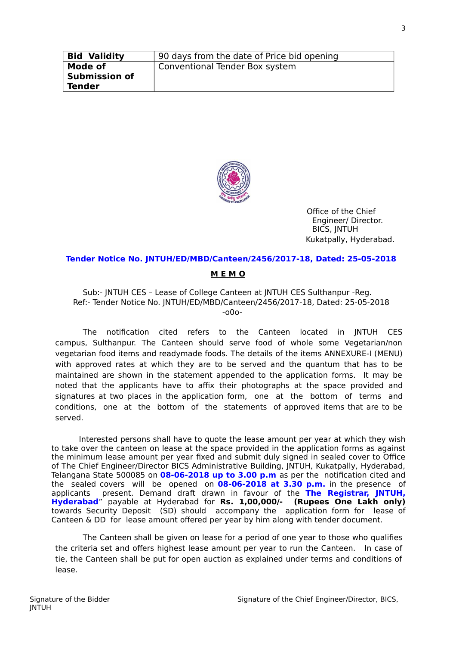| <b>Bid Validity</b>                              | 90 days from the date of Price bid opening |
|--------------------------------------------------|--------------------------------------------|
| Mode of<br><b>Submission of</b><br><b>Tender</b> | Conventional Tender Box system             |



Office of the Chief Engineer/ Director. BICS, JNTUH Kukatpally, Hyderabad.

#### **Tender Notice No. JNTUH/ED/MBD/Canteen/2456/2017-18, Dated: 25-05-2018**

#### **M E M O**

Sub:- JNTUH CES – Lease of College Canteen at JNTUH CES Sulthanpur -Reg. Ref:- Tender Notice No. JNTUH/ED/MBD/Canteen/2456/2017-18, Dated: 25-05-2018 -o0o-

The notification cited refers to the Canteen located in JNTUH CES campus, Sulthanpur. The Canteen should serve food of whole some Vegetarian/non vegetarian food items and readymade foods. The details of the items ANNEXURE-I (MENU) with approved rates at which they are to be served and the quantum that has to be maintained are shown in the statement appended to the application forms. It may be noted that the applicants have to affix their photographs at the space provided and signatures at two places in the application form, one at the bottom of terms and conditions, one at the bottom of the statements of approved items that are to be served.

Interested persons shall have to quote the lease amount per year at which they wish to take over the canteen on lease at the space provided in the application forms as against the minimum lease amount per year fixed and submit duly signed in sealed cover to Office of The Chief Engineer/Director BICS Administrative Building, JNTUH, Kukatpally, Hyderabad, Telangana State 500085 on **08-06-2018 up to 3.00 p.m** as per the notification cited and the sealed covers will be opened on **08-06-2018 at 3.30 p.m.** in the presence of applicants present. Demand draft drawn in favour of the **The Registrar, JNTUH, Hyderabad**" payable at Hyderabad for **Rs. 1,00,000/- (Rupees One Lakh only)** towards Security Deposit (SD) should accompany the application form for lease of Canteen & DD for lease amount offered per year by him along with tender document.

The Canteen shall be given on lease for a period of one year to those who qualifies the criteria set and offers highest lease amount per year to run the Canteen. In case of tie, the Canteen shall be put for open auction as explained under terms and conditions of lease.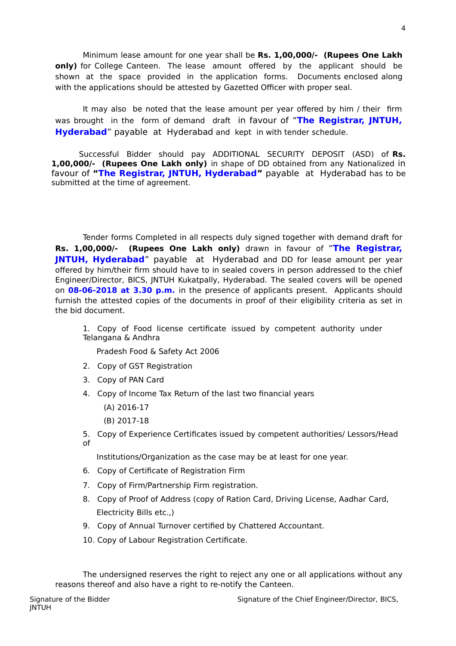Minimum lease amount for one year shall be **Rs. 1,00,000/- (Rupees One Lakh only)** for College Canteen. The lease amount offered by the applicant should be shown at the space provided in the application forms. Documents enclosed along with the applications should be attested by Gazetted Officer with proper seal.

It may also be noted that the lease amount per year offered by him / their firm was brought in the form of demand draft in favour of "**The Registrar, JNTUH, Hyderabad**" payable at Hyderabad and kept in with tender schedule.

Successful Bidder should pay ADDITIONAL SECURITY DEPOSIT (ASD) of **Rs. 1,00,000/- (Rupees One Lakh only)** in shape of DD obtained from any Nationalized in favour of **"The Registrar, JNTUH, Hyderabad"** payable at Hyderabad has to be submitted at the time of agreement.

Tender forms Completed in all respects duly signed together with demand draft for **Rs. 1,00,000/- (Rupees One Lakh only)** drawn in favour of "**The Registrar, JNTUH, Hyderabad**" payable at Hyderabad and DD for lease amount per year offered by him/their firm should have to in sealed covers in person addressed to the chief Engineer/Director, BICS, JNTUH Kukatpally, Hyderabad. The sealed covers will be opened on **08-06-2018 at 3.30 p.m.** in the presence of applicants present. Applicants should furnish the attested copies of the documents in proof of their eligibility criteria as set in the bid document.

1. Copy of Food license certificate issued by competent authority under Telangana & Andhra

Pradesh Food & Safety Act 2006

- 2. Copy of GST Registration
- 3. Copy of PAN Card
- 4. Copy of Income Tax Return of the last two financial years
	- (A) 2016-17
	- (B) 2017-18
- 5. Copy of Experience Certificates issued by competent authorities/ Lessors/Head  $\mathsf{A}$ f

Institutions/Organization as the case may be at least for one year.

- 6. Copy of Certificate of Registration Firm
- 7. Copy of Firm/Partnership Firm registration.
- 8. Copy of Proof of Address (copy of Ration Card, Driving License, Aadhar Card, Electricity Bills etc.,)
- 9. Copy of Annual Turnover certified by Chattered Accountant.
- 10. Copy of Labour Registration Certificate.

The undersigned reserves the right to reject any one or all applications without any reasons thereof and also have a right to re-notify the Canteen.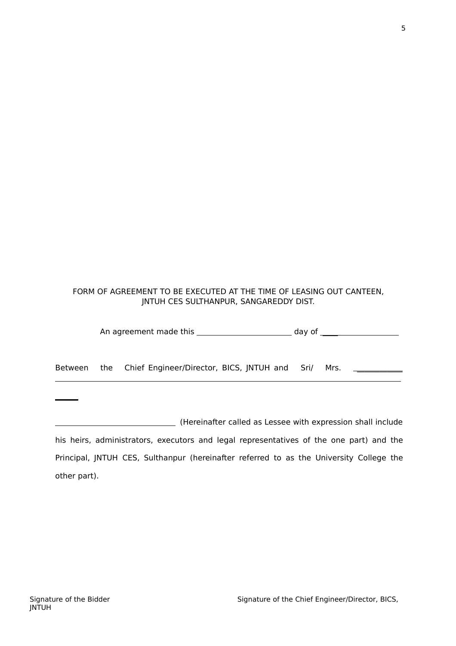# FORM OF AGREEMENT TO BE EXECUTED AT THE TIME OF LEASING OUT CANTEEN, JNTUH CES SULTHANPUR, SANGAREDDY DIST.

|  |                                                                | day of $\sqrt{a^2-1}$ |  |
|--|----------------------------------------------------------------|-----------------------|--|
|  | Between the Chief Engineer/Director, BICS, JNTUH and Sri/ Mrs. |                       |  |
|  |                                                                |                       |  |

(Hereinafter called as Lessee with expression shall include his heirs, administrators, executors and legal representatives of the one part) and the Principal, JNTUH CES, Sulthanpur (hereinafter referred to as the University College the other part).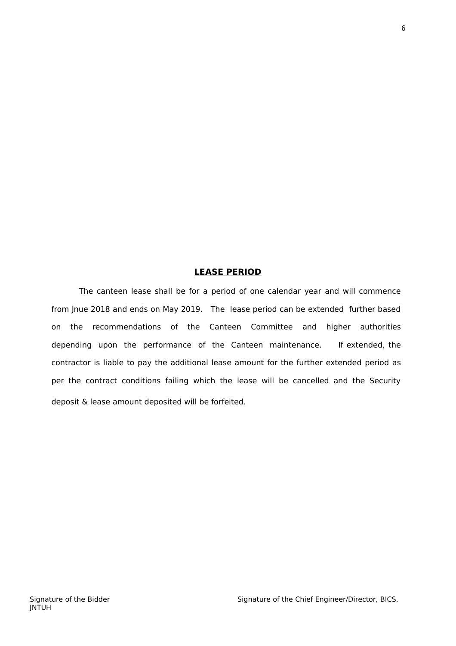## **LEASE PERIOD**

The canteen lease shall be for a period of one calendar year and will commence from Jnue 2018 and ends on May 2019. The lease period can be extended further based on the recommendations of the Canteen Committee and higher authorities depending upon the performance of the Canteen maintenance. If extended, the contractor is liable to pay the additional lease amount for the further extended period as per the contract conditions failing which the lease will be cancelled and the Security deposit & lease amount deposited will be forfeited.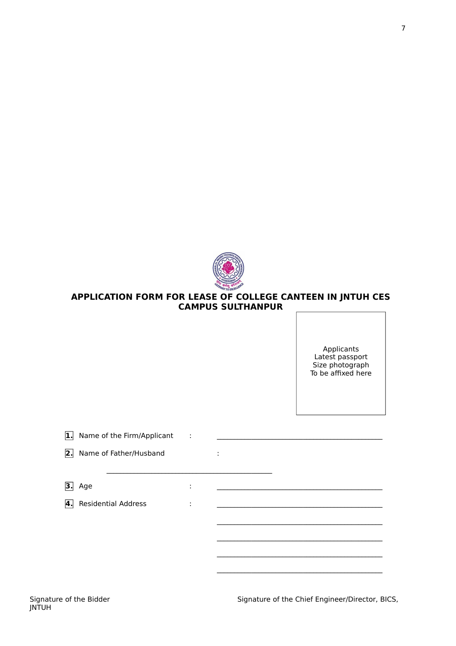

## **APPLICATION FORM FOR LEASE OF COLLEGE CANTEEN IN JNTUH CES CAMPUS SULTHANPUR**

Applicants Latest passport Size photograph To be affixed here

| 1. | Name of the Firm/Applicant | $\sim$              |                   |  |
|----|----------------------------|---------------------|-------------------|--|
| 2. | Name of Father/Husband     |                     | ٠<br>$\mathbf{r}$ |  |
| З. | Age                        | ٠<br>$\blacksquare$ |                   |  |
| 4. | <b>Residential Address</b> | ٠<br>$\blacksquare$ |                   |  |
|    |                            |                     |                   |  |
|    |                            |                     |                   |  |
|    |                            |                     |                   |  |

Signature of the Chief Engineer/Director, BICS,

\_\_\_\_\_\_\_\_\_\_\_\_\_\_\_\_\_\_\_\_\_\_\_\_\_\_\_\_\_\_\_\_\_\_\_\_\_\_\_\_\_\_\_\_\_\_\_\_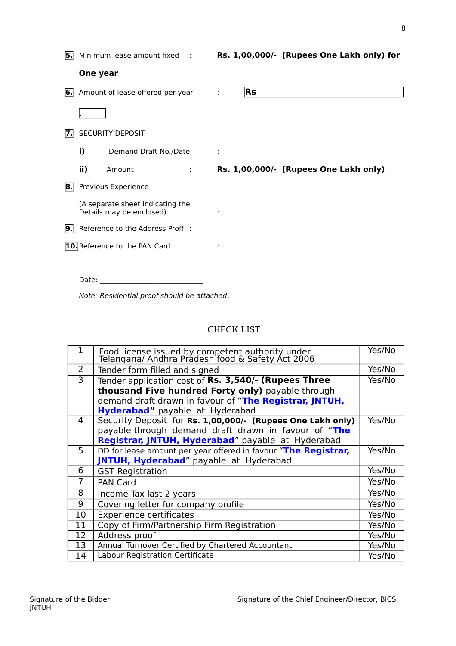| 5. |          | Minimum lease amount fixed :                                 |   |   |           | Rs. 1,00,000/- (Rupees One Lakh only) for |
|----|----------|--------------------------------------------------------------|---|---|-----------|-------------------------------------------|
|    | One year |                                                              |   |   |           |                                           |
|    |          | <b>6.</b> Amount of lease offered per year                   |   | ÷ | <b>Rs</b> |                                           |
|    |          |                                                              |   |   |           |                                           |
| 7. |          | <b>SECURITY DEPOSIT</b>                                      |   |   |           |                                           |
|    | i)       | Demand Draft No./Date                                        |   | ÷ |           |                                           |
|    | ii)      | Amount                                                       | ÷ |   |           | Rs. 1,00,000/- (Rupees One Lakh only)     |
| 8. |          | Previous Experience                                          |   |   |           |                                           |
|    |          | (A separate sheet indicating the<br>Details may be enclosed) |   |   |           |                                           |
| 9. |          | Reference to the Address Proff :                             |   |   |           |                                           |
|    |          | <b>10.</b> Reference to the PAN Card                         |   |   |           |                                           |
|    |          |                                                              |   |   |           |                                           |
|    | Date:    |                                                              |   |   |           |                                           |

Note: Residential proof should be attached.

## CHECK LIST

| $\mathbf{1}$ | Food license issued by competent authority under<br>Telangana/ Andhra Pradesh food & Safety Act 2006 | Yes/No |
|--------------|------------------------------------------------------------------------------------------------------|--------|
| 2            | Tender form filled and signed                                                                        | Yes/No |
| 3            | Tender application cost of Rs. 3,540/- (Rupees Three                                                 | Yes/No |
|              | thousand Five hundred Forty only) payable through                                                    |        |
|              | demand draft drawn in favour of "The Registrar, JNTUH,                                               |        |
|              | <b>Hyderabad"</b> payable at Hyderabad                                                               |        |
| 4            | Security Deposit for Rs. 1,00,000/- (Rupees One Lakh only)                                           | Yes/No |
|              | payable through demand draft drawn in favour of "The                                                 |        |
|              | Registrar, JNTUH, Hyderabad" payable at Hyderabad                                                    |        |
| 5            | DD for lease amount per year offered in favour "The Registrar,                                       | Yes/No |
|              | JNTUH, Hyderabad" payable at Hyderabad                                                               |        |
| 6            | <b>GST Registration</b>                                                                              | Yes/No |
| 7            | <b>PAN Card</b>                                                                                      | Yes/No |
| 8            | Income Tax last 2 years                                                                              | Yes/No |
| 9            | Covering letter for company profile                                                                  | Yes/No |
| 10           | <b>Experience certificates</b>                                                                       | Yes/No |
| 11           | Copy of Firm/Partnership Firm Registration                                                           | Yes/No |
| 12           | Address proof                                                                                        | Yes/No |
| 13           | Annual Turnover Certified by Chartered Accountant                                                    | Yes/No |
| 14           | Labour Registration Certificate                                                                      | Yes/No |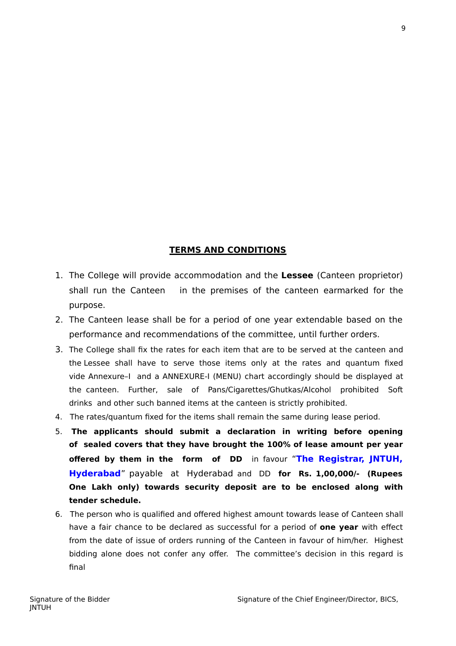## **TERMS AND CONDITIONS**

- 1. The College will provide accommodation and the **Lessee** (Canteen proprietor) shall run the Canteen in the premises of the canteen earmarked for the purpose.
- 2. The Canteen lease shall be for a period of one year extendable based on the performance and recommendations of the committee, until further orders.
- 3. The College shall fix the rates for each item that are to be served at the canteen and the Lessee shall have to serve those items only at the rates and quantum fixed vide Annexure–I and a ANNEXURE-I (MENU) chart accordingly should be displayed at the canteen. Further, sale of Pans/Cigarettes/Ghutkas/Alcohol prohibited Soft drinks and other such banned items at the canteen is strictly prohibited.
- 4. The rates/quantum fixed for the items shall remain the same during lease period.
- 5. **The applicants should submit a declaration in writing before opening of sealed covers that they have brought the 100% of lease amount per year offered by them in the form of DD** in favour "**The Registrar, JNTUH, Hyderabad**" payable at Hyderabad and DD **for Rs. 1,00,000/- (Rupees One Lakh only) towards security deposit are to be enclosed along with tender schedule.**
- 6. The person who is qualified and offered highest amount towards lease of Canteen shall have a fair chance to be declared as successful for a period of **one year** with effect from the date of issue of orders running of the Canteen in favour of him/her. Highest bidding alone does not confer any offer. The committee's decision in this regard is final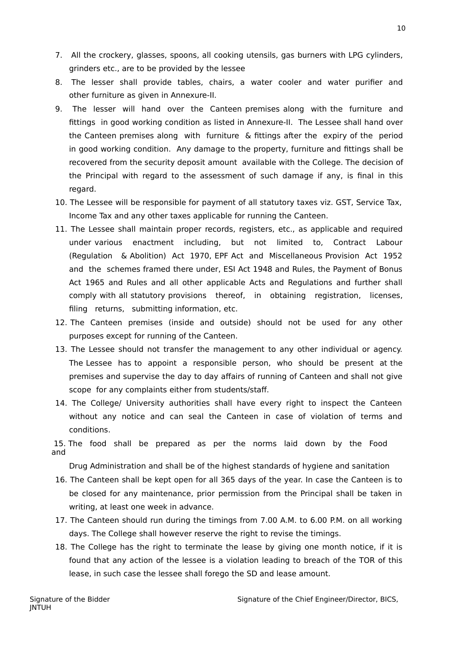- 7. All the crockery, glasses, spoons, all cooking utensils, gas burners with LPG cylinders, grinders etc., are to be provided by the lessee
- 8. The lesser shall provide tables, chairs, a water cooler and water purifier and other furniture as given in Annexure-II.
- 9. The lesser will hand over the Canteen premises along with the furniture and fittings in good working condition as listed in Annexure-II. The Lessee shall hand over the Canteen premises along with furniture & fittings after the expiry of the period in good working condition. Any damage to the property, furniture and fittings shall be recovered from the security deposit amount available with the College. The decision of the Principal with regard to the assessment of such damage if any, is final in this regard.
- 10. The Lessee will be responsible for payment of all statutory taxes viz. GST, Service Tax, Income Tax and any other taxes applicable for running the Canteen.
- 11. The Lessee shall maintain proper records, registers, etc., as applicable and required under various enactment including, but not limited to, Contract Labour (Regulation & Abolition) Act 1970, EPF Act and Miscellaneous Provision Act 1952 and the schemes framed there under, ESI Act 1948 and Rules, the Payment of Bonus Act 1965 and Rules and all other applicable Acts and Regulations and further shall comply with all statutory provisions thereof, in obtaining registration, licenses, filing returns, submitting information, etc.
- 12. The Canteen premises (inside and outside) should not be used for any other purposes except for running of the Canteen.
- 13. The Lessee should not transfer the management to any other individual or agency. The Lessee has to appoint a responsible person, who should be present at the premises and supervise the day to day affairs of running of Canteen and shall not give scope for any complaints either from students/staff.
- 14. The College/ University authorities shall have every right to inspect the Canteen without any notice and can seal the Canteen in case of violation of terms and conditions.

15. The food shall be prepared as per the norms laid down by the Food and

Drug Administration and shall be of the highest standards of hygiene and sanitation

- 16. The Canteen shall be kept open for all 365 days of the year. In case the Canteen is to be closed for any maintenance, prior permission from the Principal shall be taken in writing, at least one week in advance.
- 17. The Canteen should run during the timings from 7.00 A.M. to 6.00 P.M. on all working days. The College shall however reserve the right to revise the timings.
- 18. The College has the right to terminate the lease by giving one month notice, if it is found that any action of the lessee is a violation leading to breach of the TOR of this lease, in such case the lessee shall forego the SD and lease amount.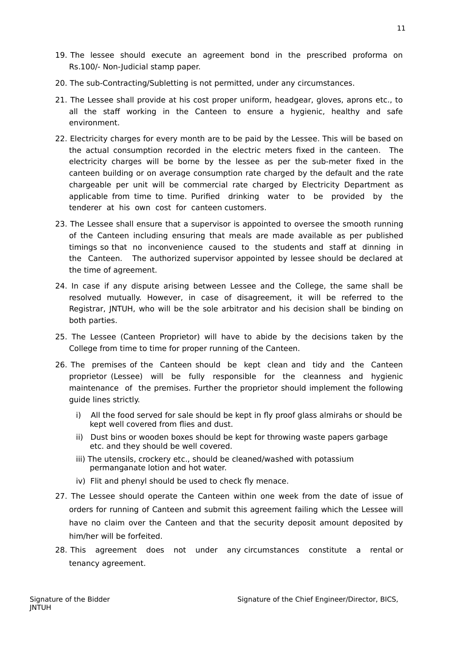- 19. The lessee should execute an agreement bond in the prescribed proforma on Rs.100/- Non-Judicial stamp paper.
- 20. The sub-Contracting/Subletting is not permitted, under any circumstances.
- 21. The Lessee shall provide at his cost proper uniform, headgear, gloves, aprons etc., to all the staff working in the Canteen to ensure a hygienic, healthy and safe environment.
- 22. Electricity charges for every month are to be paid by the Lessee. This will be based on the actual consumption recorded in the electric meters fixed in the canteen. The electricity charges will be borne by the lessee as per the sub-meter fixed in the canteen building or on average consumption rate charged by the default and the rate chargeable per unit will be commercial rate charged by Electricity Department as applicable from time to time. Purified drinking water to be provided by the tenderer at his own cost for canteen customers.
- 23. The Lessee shall ensure that a supervisor is appointed to oversee the smooth running of the Canteen including ensuring that meals are made available as per published timings so that no inconvenience caused to the students and staff at dinning in the Canteen. The authorized supervisor appointed by lessee should be declared at the time of agreement.
- 24. In case if any dispute arising between Lessee and the College, the same shall be resolved mutually. However, in case of disagreement, it will be referred to the Registrar, JNTUH, who will be the sole arbitrator and his decision shall be binding on both parties.
- 25. The Lessee (Canteen Proprietor) will have to abide by the decisions taken by the College from time to time for proper running of the Canteen.
- 26. The premises of the Canteen should be kept clean and tidy and the Canteen proprietor (Lessee) will be fully responsible for the cleanness and hygienic maintenance of the premises. Further the proprietor should implement the following guide lines strictly.
	- i) All the food served for sale should be kept in fly proof glass almirahs or should be kept well covered from flies and dust.
	- ii) Dust bins or wooden boxes should be kept for throwing waste papers garbage etc. and they should be well covered.
	- iii) The utensils, crockery etc., should be cleaned/washed with potassium permanganate lotion and hot water.
	- iv) Flit and phenyl should be used to check fly menace.
- 27. The Lessee should operate the Canteen within one week from the date of issue of orders for running of Canteen and submit this agreement failing which the Lessee will have no claim over the Canteen and that the security deposit amount deposited by him/her will be forfeited.
- 28. This agreement does not under any circumstances constitute a rental or tenancy agreement.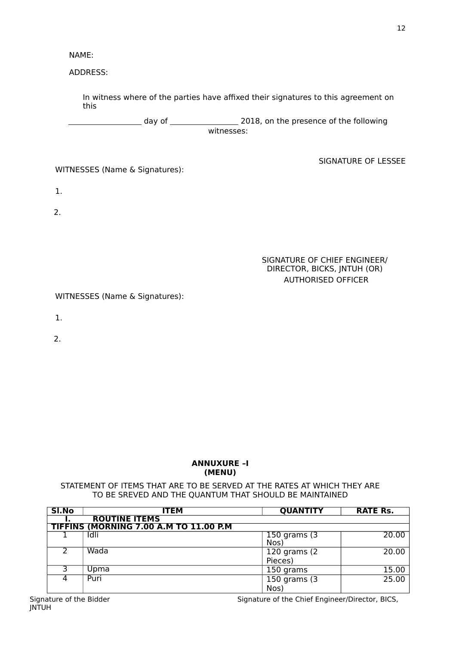NAME:

ADDRESS:

In witness where of the parties have affixed their signatures to this agreement on this

 day of 2018, on the presence of the following witnesses:

WITNESSES (Name & Signatures):

1.

2.

### SIGNATURE OF CHIEF ENGINEER/ DIRECTOR, BICKS, JNTUH (OR) AUTHORISED OFFICER

SIGNATURE OF LESSEE

WITNESSES (Name & Signatures):

1.

2.

### **ANNUXURE –I (MENU)**

#### STATEMENT OF ITEMS THAT ARE TO BE SERVED AT THE RATES AT WHICH THEY ARE TO BE SREVED AND THE QUANTUM THAT SHOULD BE MAINTAINED

| SI.No | <b>ITEM</b>                            | <b>QUANTITY</b>           | <b>RATE Rs.</b> |
|-------|----------------------------------------|---------------------------|-----------------|
|       | <b>ROUTINE ITEMS</b>                   |                           |                 |
|       | TIFFINS (MORNING 7.00 A.M TO 11.00 P.M |                           |                 |
|       | Idli                                   | $150$ grams $(3)$<br>Nos) | 20.00           |
|       | Wada                                   | 120 grams (2)<br>Pieces)  | 20.00           |
|       | Upma                                   | 150 grams                 | 15.00           |
|       | Puri                                   | 150 grams (3<br>Nos)      | 25.00           |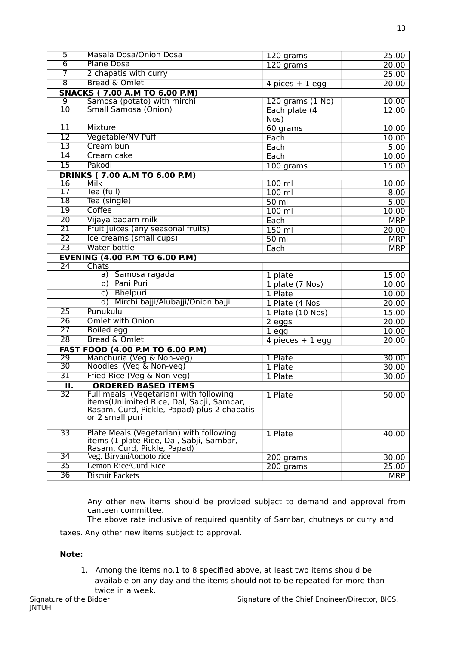| $\overline{5}$            | <b>Masala Dosa/Onion Dosa</b>               |                    |            |
|---------------------------|---------------------------------------------|--------------------|------------|
|                           |                                             | 120 grams          | 25.00      |
| $\overline{6}$            | <b>Plane Dosa</b>                           | 120 grams          | 20.00      |
| $\overline{7}$            | 2 chapatis with curry                       |                    | 25.00      |
| $\overline{8}$            | <b>Bread &amp; Omlet</b>                    | 4 pices $+1$ egg   | 20.00      |
|                           | <b>SNACKS (7.00 A.M TO 6.00 P.M)</b>        |                    |            |
| $\overline{9}$            | Samosa (potato) with mirchi                 | 120 grams (1 No)   | 10.00      |
| $\overline{10}$           | <b>Small Samosa (Onion)</b>                 | Each plate (4      | 12.00      |
|                           |                                             | Nos)               |            |
| $11\,$                    | <b>Mixture</b>                              | 60 grams           | 10.00      |
| $\overline{12}$           | Vegetable/NV Puff                           | Each               | 10.00      |
| $\overline{13}$           | Cream bun                                   | Each               | 5.00       |
| $\overline{14}$           | Cream cake                                  | Each               | 10.00      |
| $\overline{15}$           | Pakodi                                      | $100$ grams        | 15.00      |
|                           | <b>DRINKS (7.00 A.M TO 6.00 P.M)</b>        |                    |            |
| $\overline{16}$           | Milk                                        | $100$ ml           | 10.00      |
| 17                        | Tea (full)                                  | $100$ ml           | 8.00       |
| $\overline{18}$           | Tea (single)                                | $\overline{50}$ ml | 5.00       |
| $\overline{19}$           | Coffee                                      | $100$ ml           | 10.00      |
| $\overline{20}$           | Vijaya badam milk                           | Each               | <b>MRP</b> |
| $\overline{21}$           | Fruit Juices (any seasonal fruits)          | 150 ml             | 20.00      |
| $\overline{22}$           | Ice creams (small cups)                     | $50$ ml            | <b>MRP</b> |
| $\overline{23}$           | Water bottle                                |                    |            |
|                           |                                             | Each               | <b>MRP</b> |
|                           | <b>EVENING (4.00 P.M TO 6.00 P.M)</b>       |                    |            |
| $\overline{24}$           | <b>Chats</b><br>a) Samosa ragada            |                    |            |
|                           | b) Pani Puri                                | 1 plate            | 15.00      |
|                           |                                             | 1 plate (7 Nos)    | 10.00      |
|                           | c) Bhelpuri                                 | 1 Plate            | 10.00      |
|                           | d) Mirchi bajji/Alubajji/Onion bajji        | 1 Plate (4 Nos     | 20.00      |
| $\overline{25}$           | Punukulu                                    | 1 Plate (10 Nos)   | 15.00      |
| $\overline{26}$           | <b>Omlet with Onion</b>                     | 2 eggs             | 20.00      |
| $\overline{27}$           | <b>Boiled egg</b>                           | $1 -$ egg          | 10.00      |
| $\overline{28}$           | Bread & Omlet                               | 4 pieces $+1$ egg  | 20.00      |
|                           | <b>FAST FOOD (4.00 P.M TO 6.00 P.M)</b>     |                    |            |
| $\overline{29}$           | Manchuria (Veg & Non-veg)                   | 1 Plate            | 30.00      |
| $\overline{30}$           | Noodles (Veg & Non-veg)                     | 1 Plate            | 30.00      |
| $\overline{31}$           | Fried Rice (Veg & Non-veg)                  | 1 Plate            | 30.00      |
| $\overline{\mathbf{u}}$ . | <b>ORDERED BASED ITEMS</b>                  |                    |            |
| 32                        | Full meals (Vegetarian) with following      | 1 Plate            | 50.00      |
|                           | items (Unlimited Rice, Dal, Sabji, Sambar,  |                    |            |
|                           | Rasam, Curd, Pickle, Papad) plus 2 chapatis |                    |            |
|                           | or 2 small puri                             |                    |            |
| 33                        | Plate Meals (Vegetarian) with following     | 1 Plate            | 40.00      |
|                           | items (1 plate Rice, Dal, Sabji, Sambar,    |                    |            |
|                           | Rasam, Curd, Pickle, Papad)                 |                    |            |
| 34                        | Veg. Biryani/tomoto rice                    | 200 grams          | 30.00      |
| $\overline{35}$           | <b>Lemon Rice/Curd Rice</b>                 | 200 grams          | 25.00      |
| $\overline{36}$           | <b>Biscuit Packets</b>                      |                    | <b>MRP</b> |

Any other new items should be provided subject to demand and approval from canteen committee.

The above rate inclusive of required quantity of Sambar, chutneys or curry and

taxes. Any other new items subject to approval.

### **Note:**

1. Among the items no.1 to 8 specified above, at least two items should be available on any day and the items should not to be repeated for more than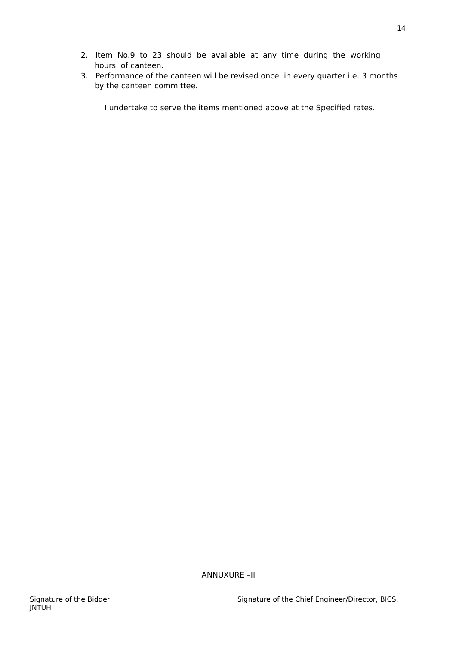- 2. Item No.9 to 23 should be available at any time during the working hours of canteen.
- 3. Performance of the canteen will be revised once in every quarter i.e. 3 months by the canteen committee.

I undertake to serve the items mentioned above at the Specified rates.

ANNUXURE –II

14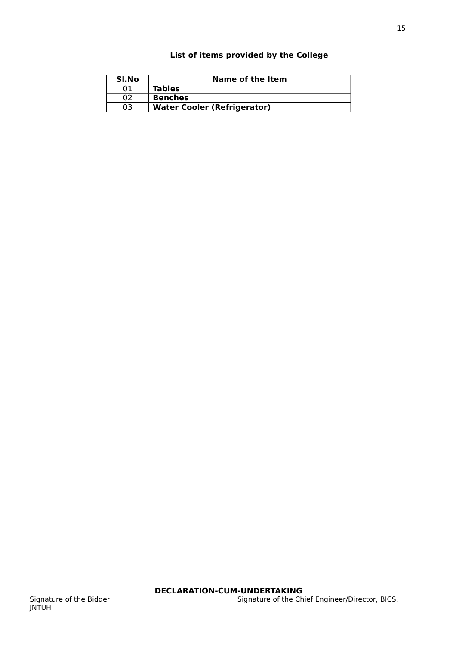## **List of items provided by the College**

| SI.No | Name of the Item                   |
|-------|------------------------------------|
| 01    | <b>Tables</b>                      |
| 02    | <b>Benches</b>                     |
| 03.   | <b>Water Cooler (Refrigerator)</b> |